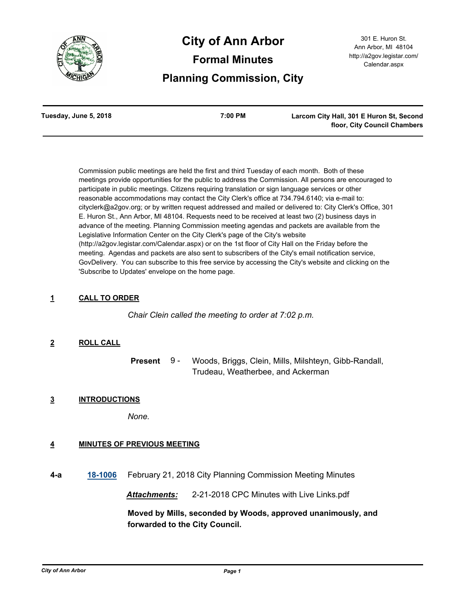

# **City of Ann Arbor Formal Minutes Planning Commission, City**

| Tuesday, June 5, 2018 | 7:00 PM | Larcom City Hall, 301 E Huron St, Second |
|-----------------------|---------|------------------------------------------|
|                       |         | floor, City Council Chambers             |

Commission public meetings are held the first and third Tuesday of each month. Both of these meetings provide opportunities for the public to address the Commission. All persons are encouraged to participate in public meetings. Citizens requiring translation or sign language services or other reasonable accommodations may contact the City Clerk's office at 734.794.6140; via e-mail to: cityclerk@a2gov.org; or by written request addressed and mailed or delivered to: City Clerk's Office, 301 E. Huron St., Ann Arbor, MI 48104. Requests need to be received at least two (2) business days in advance of the meeting. Planning Commission meeting agendas and packets are available from the Legislative Information Center on the City Clerk's page of the City's website (http://a2gov.legistar.com/Calendar.aspx) or on the 1st floor of City Hall on the Friday before the meeting. Agendas and packets are also sent to subscribers of the City's email notification service, GovDelivery. You can subscribe to this free service by accessing the City's website and clicking on the 'Subscribe to Updates' envelope on the home page.

# **1 CALL TO ORDER**

*Chair Clein called the meeting to order at 7:02 p.m.*

# **2 ROLL CALL**

Woods, Briggs, Clein, Mills, Milshteyn, Gibb-Randall, Trudeau, Weatherbee, and Ackerman **Present** 9 -

# **3 INTRODUCTIONS**

*None.*

# **4 MINUTES OF PREVIOUS MEETING**

**4-a [18-1006](http://a2gov.legistar.com/gateway.aspx?M=L&ID=20616)** February 21, 2018 City Planning Commission Meeting Minutes

*Attachments:* 2-21-2018 CPC Minutes with Live Links.pdf

**Moved by Mills, seconded by Woods, approved unanimously, and forwarded to the City Council.**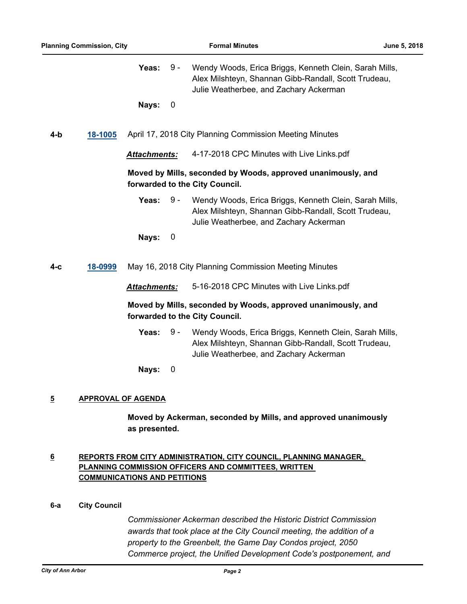|                     | <b>Planning Commission, City</b> |                           |                                           | <b>Formal Minutes</b>                                                                                                                                    | June 5, 2018 |
|---------------------|----------------------------------|---------------------------|-------------------------------------------|----------------------------------------------------------------------------------------------------------------------------------------------------------|--------------|
|                     |                                  | Yeas:                     | $9 -$                                     | Wendy Woods, Erica Briggs, Kenneth Clein, Sarah Mills,<br>Alex Milshteyn, Shannan Gibb-Randall, Scott Trudeau,<br>Julie Weatherbee, and Zachary Ackerman |              |
|                     |                                  | Nays:                     | 0                                         |                                                                                                                                                          |              |
| 4-b                 | 18-1005                          |                           |                                           | April 17, 2018 City Planning Commission Meeting Minutes                                                                                                  |              |
|                     |                                  | <b>Attachments:</b>       |                                           | 4-17-2018 CPC Minutes with Live Links.pdf                                                                                                                |              |
|                     |                                  |                           |                                           | Moved by Mills, seconded by Woods, approved unanimously, and<br>forwarded to the City Council.                                                           |              |
|                     |                                  | Yeas:                     | $9 -$                                     | Wendy Woods, Erica Briggs, Kenneth Clein, Sarah Mills,<br>Alex Milshteyn, Shannan Gibb-Randall, Scott Trudeau,<br>Julie Weatherbee, and Zachary Ackerman |              |
|                     |                                  | Nays:                     | 0                                         |                                                                                                                                                          |              |
| 4-с                 | 18-0999                          |                           |                                           | May 16, 2018 City Planning Commission Meeting Minutes                                                                                                    |              |
| <b>Attachments:</b> |                                  |                           | 5-16-2018 CPC Minutes with Live Links.pdf |                                                                                                                                                          |              |
|                     |                                  |                           |                                           | Moved by Mills, seconded by Woods, approved unanimously, and<br>forwarded to the City Council.                                                           |              |
|                     |                                  | Yeas:                     | $9 -$                                     | Wendy Woods, Erica Briggs, Kenneth Clein, Sarah Mills,<br>Alex Milshteyn, Shannan Gibb-Randall, Scott Trudeau,<br>Julie Weatherbee, and Zachary Ackerman |              |
|                     |                                  | Nays:                     | 0                                         |                                                                                                                                                          |              |
| $\overline{5}$      |                                  | <b>APPROVAL OF AGENDA</b> |                                           |                                                                                                                                                          |              |

**Moved by Ackerman, seconded by Mills, and approved unanimously as presented.**

# **6 REPORTS FROM CITY ADMINISTRATION, CITY COUNCIL, PLANNING MANAGER, PLANNING COMMISSION OFFICERS AND COMMITTEES, WRITTEN COMMUNICATIONS AND PETITIONS**

# **6-a City Council**

*Commissioner Ackerman described the Historic District Commission awards that took place at the City Council meeting, the addition of a property to the Greenbelt, the Game Day Condos project, 2050 Commerce project, the Unified Development Code's postponement, and*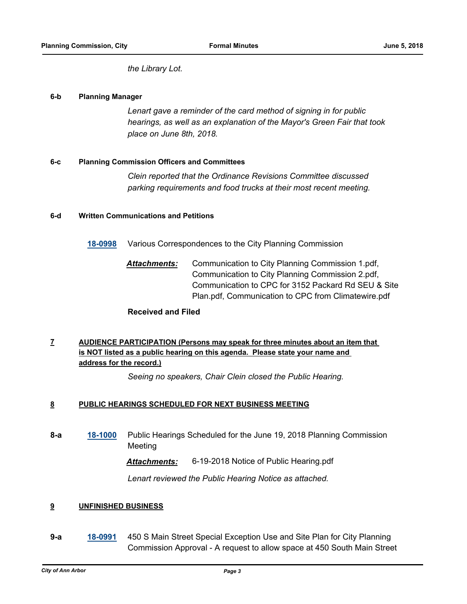*the Library Lot.*

### **6-b Planning Manager**

*Lenart gave a reminder of the card method of signing in for public hearings, as well as an explanation of the Mayor's Green Fair that took place on June 8th, 2018.*

## **6-c Planning Commission Officers and Committees**

*Clein reported that the Ordinance Revisions Committee discussed parking requirements and food trucks at their most recent meeting.*

## **6-d Written Communications and Petitions**

**[18-0998](http://a2gov.legistar.com/gateway.aspx?M=L&ID=20608)** Various Correspondences to the City Planning Commission

*Attachments:* Communication to City Planning Commission 1.pdf, Communication to City Planning Commission 2.pdf, Communication to CPC for 3152 Packard Rd SEU & Site Plan.pdf, Communication to CPC from Climatewire.pdf

# **Received and Filed**

# **7 AUDIENCE PARTICIPATION (Persons may speak for three minutes about an item that is NOT listed as a public hearing on this agenda. Please state your name and address for the record.)**

*Seeing no speakers, Chair Clein closed the Public Hearing.*

#### **8 PUBLIC HEARINGS SCHEDULED FOR NEXT BUSINESS MEETING**

**8-a [18-1000](http://a2gov.legistar.com/gateway.aspx?M=L&ID=20610)** Public Hearings Scheduled for the June 19, 2018 Planning Commission Meeting

*Attachments:* 6-19-2018 Notice of Public Hearing.pdf

*Lenart reviewed the Public Hearing Notice as attached.*

# **9 UNFINISHED BUSINESS**

**9-a [18-0991](http://a2gov.legistar.com/gateway.aspx?M=L&ID=20601)** 450 S Main Street Special Exception Use and Site Plan for City Planning Commission Approval - A request to allow space at 450 South Main Street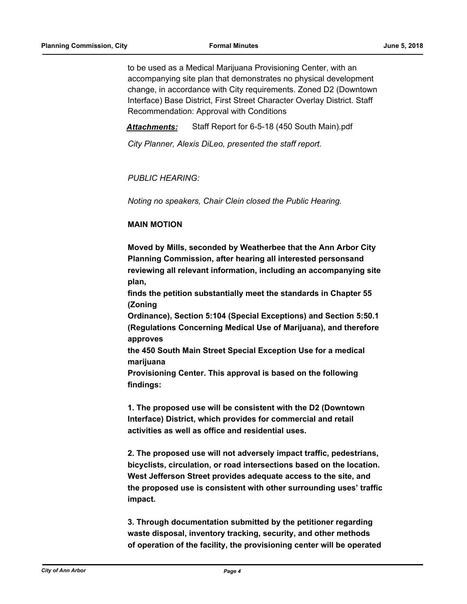to be used as a Medical Marijuana Provisioning Center, with an accompanying site plan that demonstrates no physical development change, in accordance with City requirements. Zoned D2 (Downtown Interface) Base District, First Street Character Overlay District. Staff Recommendation: Approval with Conditions

*Attachments:* Staff Report for 6-5-18 (450 South Main).pdf

*City Planner, Alexis DiLeo, presented the staff report.* 

## *PUBLIC HEARING:*

*Noting no speakers, Chair Clein closed the Public Hearing.*

## **MAIN MOTION**

**Moved by Mills, seconded by Weatherbee that the Ann Arbor City Planning Commission, after hearing all interested personsand reviewing all relevant information, including an accompanying site plan,**

**finds the petition substantially meet the standards in Chapter 55 (Zoning**

**Ordinance), Section 5:104 (Special Exceptions) and Section 5:50.1 (Regulations Concerning Medical Use of Marijuana), and therefore approves**

**the 450 South Main Street Special Exception Use for a medical marijuana**

**Provisioning Center. This approval is based on the following findings:**

**1. The proposed use will be consistent with the D2 (Downtown Interface) District, which provides for commercial and retail activities as well as office and residential uses.**

**2. The proposed use will not adversely impact traffic, pedestrians, bicyclists, circulation, or road intersections based on the location. West Jefferson Street provides adequate access to the site, and the proposed use is consistent with other surrounding uses' traffic impact.**

**3. Through documentation submitted by the petitioner regarding waste disposal, inventory tracking, security, and other methods of operation of the facility, the provisioning center will be operated**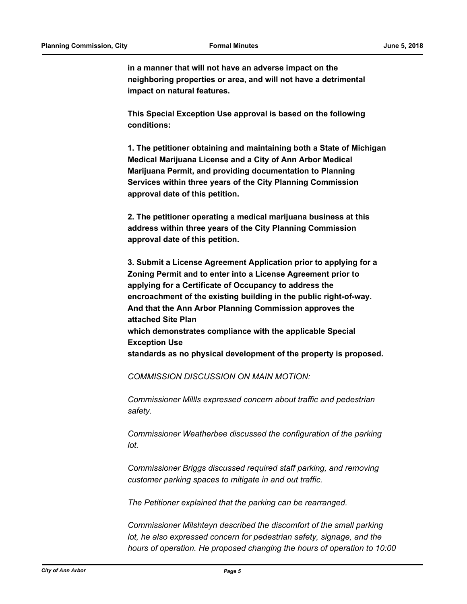**in a manner that will not have an adverse impact on the neighboring properties or area, and will not have a detrimental impact on natural features.**

**This Special Exception Use approval is based on the following conditions:**

**1. The petitioner obtaining and maintaining both a State of Michigan Medical Marijuana License and a City of Ann Arbor Medical Marijuana Permit, and providing documentation to Planning Services within three years of the City Planning Commission approval date of this petition.**

**2. The petitioner operating a medical marijuana business at this address within three years of the City Planning Commission approval date of this petition.**

**3. Submit a License Agreement Application prior to applying for a Zoning Permit and to enter into a License Agreement prior to applying for a Certificate of Occupancy to address the encroachment of the existing building in the public right-of-way. And that the Ann Arbor Planning Commission approves the attached Site Plan which demonstrates compliance with the applicable Special Exception Use standards as no physical development of the property is proposed.**

*COMMISSION DISCUSSION ON MAIN MOTION:*

*Commissioner Millls expressed concern about traffic and pedestrian safety.*

*Commissioner Weatherbee discussed the configuration of the parking lot.*

*Commissioner Briggs discussed required staff parking, and removing customer parking spaces to mitigate in and out traffic.* 

*The Petitioner explained that the parking can be rearranged.* 

*Commissioner Milshteyn described the discomfort of the small parking lot, he also expressed concern for pedestrian safety, signage, and the hours of operation. He proposed changing the hours of operation to 10:00*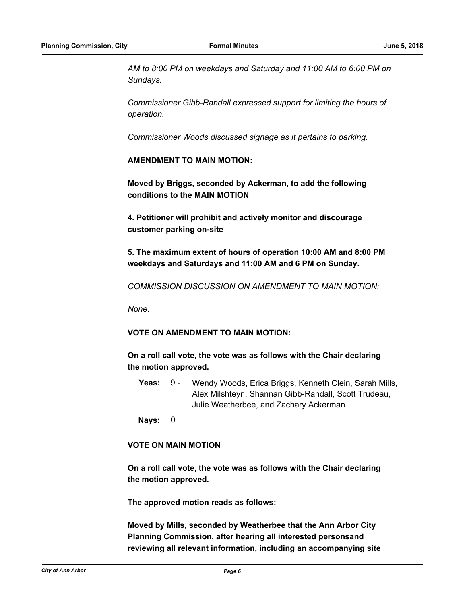*AM to 8:00 PM on weekdays and Saturday and 11:00 AM to 6:00 PM on Sundays.* 

*Commissioner Gibb-Randall expressed support for limiting the hours of operation.* 

*Commissioner Woods discussed signage as it pertains to parking.*

#### **AMENDMENT TO MAIN MOTION:**

**Moved by Briggs, seconded by Ackerman, to add the following conditions to the MAIN MOTION**

**4. Petitioner will prohibit and actively monitor and discourage customer parking on-site**

**5. The maximum extent of hours of operation 10:00 AM and 8:00 PM weekdays and Saturdays and 11:00 AM and 6 PM on Sunday.**

*COMMISSION DISCUSSION ON AMENDMENT TO MAIN MOTION:*

*None.*

## **VOTE ON AMENDMENT TO MAIN MOTION:**

**On a roll call vote, the vote was as follows with the Chair declaring the motion approved.**

Yeas: 9 - Wendy Woods, Erica Briggs, Kenneth Clein, Sarah Mills, Alex Milshteyn, Shannan Gibb-Randall, Scott Trudeau, Julie Weatherbee, and Zachary Ackerman 9 -

**Nays:** 0

### **VOTE ON MAIN MOTION**

**On a roll call vote, the vote was as follows with the Chair declaring the motion approved.** 

**The approved motion reads as follows:**

**Moved by Mills, seconded by Weatherbee that the Ann Arbor City Planning Commission, after hearing all interested personsand reviewing all relevant information, including an accompanying site**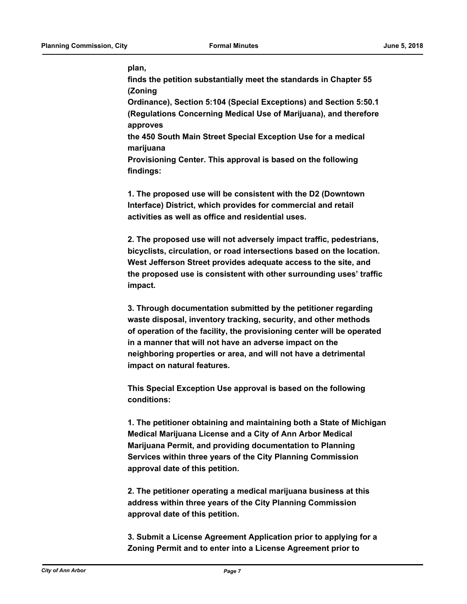#### **plan,**

**finds the petition substantially meet the standards in Chapter 55 (Zoning**

**Ordinance), Section 5:104 (Special Exceptions) and Section 5:50.1 (Regulations Concerning Medical Use of Marijuana), and therefore approves**

**the 450 South Main Street Special Exception Use for a medical marijuana**

**Provisioning Center. This approval is based on the following findings:**

**1. The proposed use will be consistent with the D2 (Downtown Interface) District, which provides for commercial and retail activities as well as office and residential uses.**

**2. The proposed use will not adversely impact traffic, pedestrians, bicyclists, circulation, or road intersections based on the location. West Jefferson Street provides adequate access to the site, and the proposed use is consistent with other surrounding uses' traffic impact.**

**3. Through documentation submitted by the petitioner regarding waste disposal, inventory tracking, security, and other methods of operation of the facility, the provisioning center will be operated in a manner that will not have an adverse impact on the neighboring properties or area, and will not have a detrimental impact on natural features.**

**This Special Exception Use approval is based on the following conditions:**

**1. The petitioner obtaining and maintaining both a State of Michigan Medical Marijuana License and a City of Ann Arbor Medical Marijuana Permit, and providing documentation to Planning Services within three years of the City Planning Commission approval date of this petition.**

**2. The petitioner operating a medical marijuana business at this address within three years of the City Planning Commission approval date of this petition.**

**3. Submit a License Agreement Application prior to applying for a Zoning Permit and to enter into a License Agreement prior to**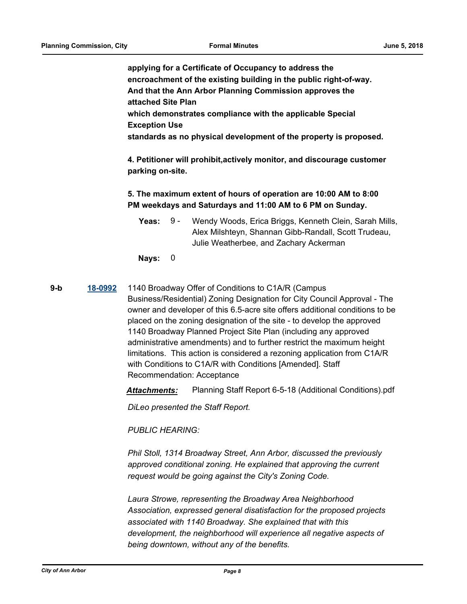**applying for a Certificate of Occupancy to address the encroachment of the existing building in the public right-of-way. And that the Ann Arbor Planning Commission approves the attached Site Plan which demonstrates compliance with the applicable Special Exception Use standards as no physical development of the property is proposed.**

**4. Petitioner will prohibit,actively monitor, and discourage customer parking on-site.**

# **5. The maximum extent of hours of operation are 10:00 AM to 8:00 PM weekdays and Saturdays and 11:00 AM to 6 PM on Sunday.**

Yeas: 9 - Wendy Woods, Erica Briggs, Kenneth Clein, Sarah Mills, Alex Milshteyn, Shannan Gibb-Randall, Scott Trudeau, Julie Weatherbee, and Zachary Ackerman 9 -

**Nays:** 0

# **9-b [18-0992](http://a2gov.legistar.com/gateway.aspx?M=L&ID=20602)** 1140 Broadway Offer of Conditions to C1A/R (Campus

Business/Residential) Zoning Designation for City Council Approval - The owner and developer of this 6.5-acre site offers additional conditions to be placed on the zoning designation of the site - to develop the approved 1140 Broadway Planned Project Site Plan (including any approved administrative amendments) and to further restrict the maximum height limitations. This action is considered a rezoning application from C1A/R with Conditions to C1A/R with Conditions [Amended]. Staff Recommendation: Acceptance

*Attachments:* Planning Staff Report 6-5-18 (Additional Conditions).pdf

*DiLeo presented the Staff Report.* 

*PUBLIC HEARING:*

*Phil Stoll, 1314 Broadway Street, Ann Arbor, discussed the previously approved conditional zoning. He explained that approving the current request would be going against the City's Zoning Code.* 

*Laura Strowe, representing the Broadway Area Neighborhood Association, expressed general disatisfaction for the proposed projects associated with 1140 Broadway. She explained that with this development, the neighborhood will experience all negative aspects of being downtown, without any of the benefits.*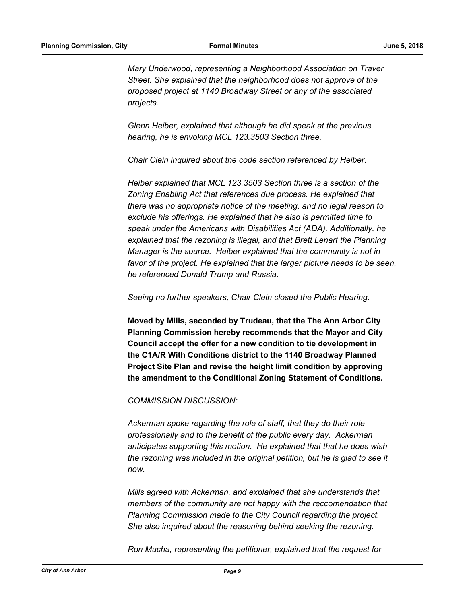*Mary Underwood, representing a Neighborhood Association on Traver Street. She explained that the neighborhood does not approve of the proposed project at 1140 Broadway Street or any of the associated projects.* 

*Glenn Heiber, explained that although he did speak at the previous hearing, he is envoking MCL 123.3503 Section three.*

*Chair Clein inquired about the code section referenced by Heiber.* 

*Heiber explained that MCL 123.3503 Section three is a section of the Zoning Enabling Act that references due process. He explained that there was no appropriate notice of the meeting, and no legal reason to exclude his offerings. He explained that he also is permitted time to speak under the Americans with Disabilities Act (ADA). Additionally, he explained that the rezoning is illegal, and that Brett Lenart the Planning Manager is the source. Heiber explained that the community is not in*  favor of the project. He explained that the larger picture needs to be seen, *he referenced Donald Trump and Russia.* 

*Seeing no further speakers, Chair Clein closed the Public Hearing.*

**Moved by Mills, seconded by Trudeau, that the The Ann Arbor City Planning Commission hereby recommends that the Mayor and City Council accept the offer for a new condition to tie development in the C1A/R With Conditions district to the 1140 Broadway Planned Project Site Plan and revise the height limit condition by approving the amendment to the Conditional Zoning Statement of Conditions.**

#### *COMMISSION DISCUSSION:*

*Ackerman spoke regarding the role of staff, that they do their role professionally and to the benefit of the public every day. Ackerman anticipates supporting this motion. He explained that that he does wish the rezoning was included in the original petition, but he is glad to see it now.* 

*Mills agreed with Ackerman, and explained that she understands that members of the community are not happy with the reccomendation that Planning Commission made to the City Council regarding the project. She also inquired about the reasoning behind seeking the rezoning.* 

*Ron Mucha, representing the petitioner, explained that the request for*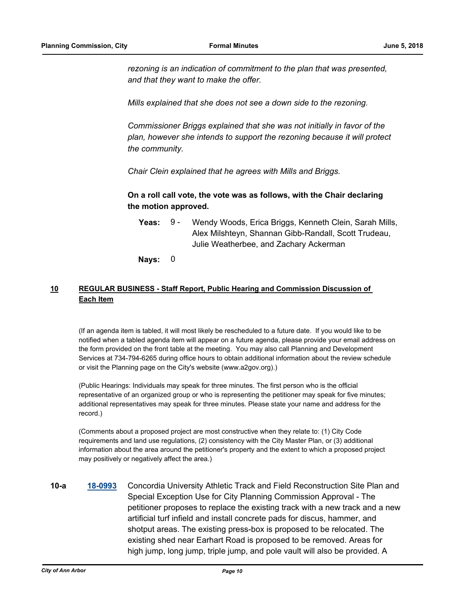*rezoning is an indication of commitment to the plan that was presented, and that they want to make the offer.* 

*Mills explained that she does not see a down side to the rezoning.* 

*Commissioner Briggs explained that she was not initially in favor of the plan, however she intends to support the rezoning because it will protect the community.* 

*Chair Clein explained that he agrees with Mills and Briggs.*

**On a roll call vote, the vote was as follows, with the Chair declaring the motion approved.**

- Yeas: 9 Wendy Woods, Erica Briggs, Kenneth Clein, Sarah Mills, Alex Milshteyn, Shannan Gibb-Randall, Scott Trudeau, Julie Weatherbee, and Zachary Ackerman  $9 -$
- **Nays:** 0

# **10 REGULAR BUSINESS - Staff Report, Public Hearing and Commission Discussion of Each Item**

(If an agenda item is tabled, it will most likely be rescheduled to a future date. If you would like to be notified when a tabled agenda item will appear on a future agenda, please provide your email address on the form provided on the front table at the meeting. You may also call Planning and Development Services at 734-794-6265 during office hours to obtain additional information about the review schedule or visit the Planning page on the City's website (www.a2gov.org).)

(Public Hearings: Individuals may speak for three minutes. The first person who is the official representative of an organized group or who is representing the petitioner may speak for five minutes; additional representatives may speak for three minutes. Please state your name and address for the record.)

(Comments about a proposed project are most constructive when they relate to: (1) City Code requirements and land use regulations, (2) consistency with the City Master Plan, or (3) additional information about the area around the petitioner's property and the extent to which a proposed project may positively or negatively affect the area.)

**10-a [18-0993](http://a2gov.legistar.com/gateway.aspx?M=L&ID=20603)** Concordia University Athletic Track and Field Reconstruction Site Plan and Special Exception Use for City Planning Commission Approval - The petitioner proposes to replace the existing track with a new track and a new artificial turf infield and install concrete pads for discus, hammer, and shotput areas. The existing press-box is proposed to be relocated. The existing shed near Earhart Road is proposed to be removed. Areas for high jump, long jump, triple jump, and pole vault will also be provided. A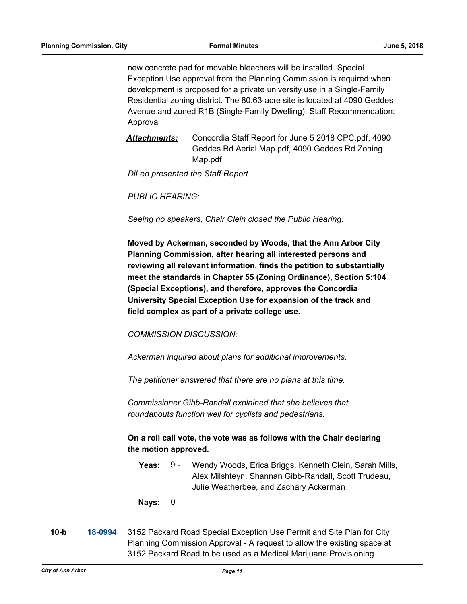new concrete pad for movable bleachers will be installed. Special Exception Use approval from the Planning Commission is required when development is proposed for a private university use in a Single-Family Residential zoning district. The 80.63-acre site is located at 4090 Geddes Avenue and zoned R1B (Single-Family Dwelling). Staff Recommendation: Approval

Attachments: Concordia Staff Report for June 5 2018 CPC.pdf, 4090 Geddes Rd Aerial Map.pdf, 4090 Geddes Rd Zoning Map.pdf

*DiLeo presented the Staff Report.*

*PUBLIC HEARING:*

*Seeing no speakers, Chair Clein closed the Public Hearing.*

**Moved by Ackerman, seconded by Woods, that the Ann Arbor City Planning Commission, after hearing all interested persons and reviewing all relevant information, finds the petition to substantially meet the standards in Chapter 55 (Zoning Ordinance), Section 5:104 (Special Exceptions), and therefore, approves the Concordia University Special Exception Use for expansion of the track and field complex as part of a private college use.**

*COMMISSION DISCUSSION:*

*Ackerman inquired about plans for additional improvements.* 

*The petitioner answered that there are no plans at this time.* 

*Commissioner Gibb-Randall explained that she believes that roundabouts function well for cyclists and pedestrians.*

**On a roll call vote, the vote was as follows with the Chair declaring the motion approved.**

Yeas: 9 - Wendy Woods, Erica Briggs, Kenneth Clein, Sarah Mills, Alex Milshteyn, Shannan Gibb-Randall, Scott Trudeau, Julie Weatherbee, and Zachary Ackerman 9 -

**Nays:** 0

**10-b [18-0994](http://a2gov.legistar.com/gateway.aspx?M=L&ID=20604)** 3152 Packard Road Special Exception Use Permit and Site Plan for City Planning Commission Approval - A request to allow the existing space at 3152 Packard Road to be used as a Medical Marijuana Provisioning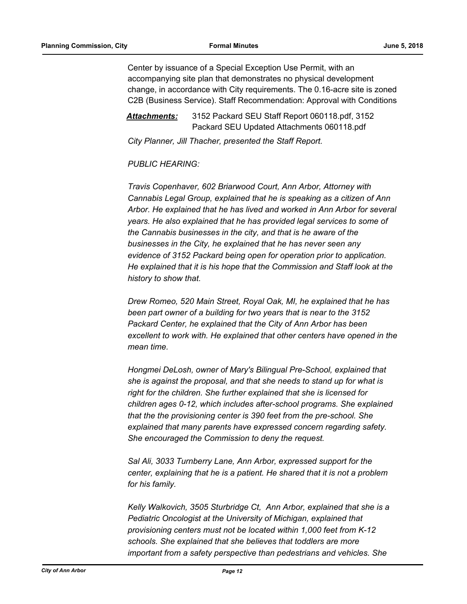Center by issuance of a Special Exception Use Permit, with an accompanying site plan that demonstrates no physical development change, in accordance with City requirements. The 0.16-acre site is zoned C2B (Business Service). Staff Recommendation: Approval with Conditions

*Attachments:* 3152 Packard SEU Staff Report 060118.pdf, 3152 Packard SEU Updated Attachments 060118.pdf

*City Planner, Jill Thacher, presented the Staff Report.* 

# *PUBLIC HEARING:*

*Travis Copenhaver, 602 Briarwood Court, Ann Arbor, Attorney with Cannabis Legal Group, explained that he is speaking as a citizen of Ann Arbor. He explained that he has lived and worked in Ann Arbor for several years. He also explained that he has provided legal services to some of the Cannabis businesses in the city, and that is he aware of the businesses in the City, he explained that he has never seen any evidence of 3152 Packard being open for operation prior to application. He explained that it is his hope that the Commission and Staff look at the history to show that.* 

*Drew Romeo, 520 Main Street, Royal Oak, MI, he explained that he has been part owner of a building for two years that is near to the 3152 Packard Center, he explained that the City of Ann Arbor has been excellent to work with. He explained that other centers have opened in the mean time.* 

*Hongmei DeLosh, owner of Mary's Bilingual Pre-School, explained that she is against the proposal, and that she needs to stand up for what is right for the children. She further explained that she is licensed for children ages 0-12, which includes after-school programs. She explained that the the provisioning center is 390 feet from the pre-school. She explained that many parents have expressed concern regarding safety. She encouraged the Commission to deny the request.* 

*Sal Ali, 3033 Turnberry Lane, Ann Arbor, expressed support for the center, explaining that he is a patient. He shared that it is not a problem for his family.* 

*Kelly Walkovich, 3505 Sturbridge Ct, Ann Arbor, explained that she is a Pediatric Oncologist at the University of Michigan, explained that provisioning centers must not be located within 1,000 feet from K-12 schools. She explained that she believes that toddlers are more important from a safety perspective than pedestrians and vehicles. She*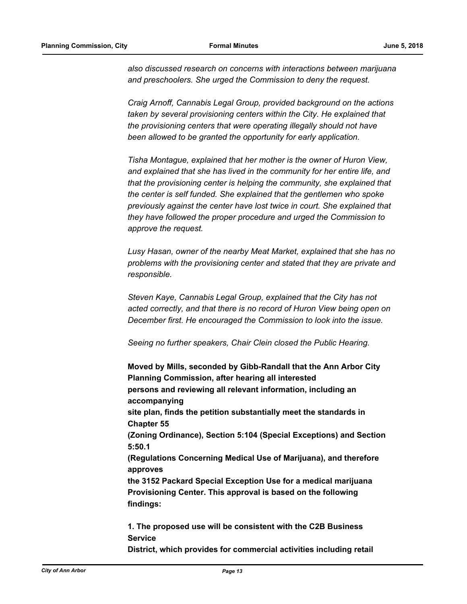*also discussed research on concerns with interactions between marijuana and preschoolers. She urged the Commission to deny the request.* 

*Craig Arnoff, Cannabis Legal Group, provided background on the actions taken by several provisioning centers within the City. He explained that the provisioning centers that were operating illegally should not have been allowed to be granted the opportunity for early application.* 

*Tisha Montague, explained that her mother is the owner of Huron View, and explained that she has lived in the community for her entire life, and that the provisioning center is helping the community, she explained that the center is self funded. She explained that the gentlemen who spoke previously against the center have lost twice in court. She explained that they have followed the proper procedure and urged the Commission to approve the request.* 

*Lusy Hasan, owner of the nearby Meat Market, explained that she has no problems with the provisioning center and stated that they are private and responsible.* 

*Steven Kaye, Cannabis Legal Group, explained that the City has not acted correctly, and that there is no record of Huron View being open on December first. He encouraged the Commission to look into the issue.* 

*Seeing no further speakers, Chair Clein closed the Public Hearing.*

**Moved by Mills, seconded by Gibb-Randall that the Ann Arbor City Planning Commission, after hearing all interested persons and reviewing all relevant information, including an accompanying site plan, finds the petition substantially meet the standards in Chapter 55 (Zoning Ordinance), Section 5:104 (Special Exceptions) and Section 5:50.1 (Regulations Concerning Medical Use of Marijuana), and therefore approves the 3152 Packard Special Exception Use for a medical marijuana Provisioning Center. This approval is based on the following findings:**

**1. The proposed use will be consistent with the C2B Business Service**

**District, which provides for commercial activities including retail**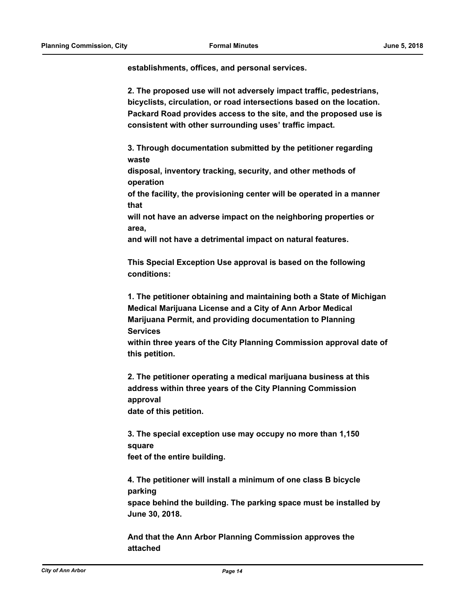**establishments, offices, and personal services.**

**2. The proposed use will not adversely impact traffic, pedestrians, bicyclists, circulation, or road intersections based on the location. Packard Road provides access to the site, and the proposed use is consistent with other surrounding uses' traffic impact.**

**3. Through documentation submitted by the petitioner regarding waste**

**disposal, inventory tracking, security, and other methods of operation**

**of the facility, the provisioning center will be operated in a manner that**

**will not have an adverse impact on the neighboring properties or area,**

**and will not have a detrimental impact on natural features.**

**This Special Exception Use approval is based on the following conditions:**

**1. The petitioner obtaining and maintaining both a State of Michigan Medical Marijuana License and a City of Ann Arbor Medical Marijuana Permit, and providing documentation to Planning Services**

**within three years of the City Planning Commission approval date of this petition.**

**2. The petitioner operating a medical marijuana business at this address within three years of the City Planning Commission approval date of this petition.**

**3. The special exception use may occupy no more than 1,150 square feet of the entire building.**

**4. The petitioner will install a minimum of one class B bicycle parking space behind the building. The parking space must be installed by June 30, 2018.**

**And that the Ann Arbor Planning Commission approves the attached**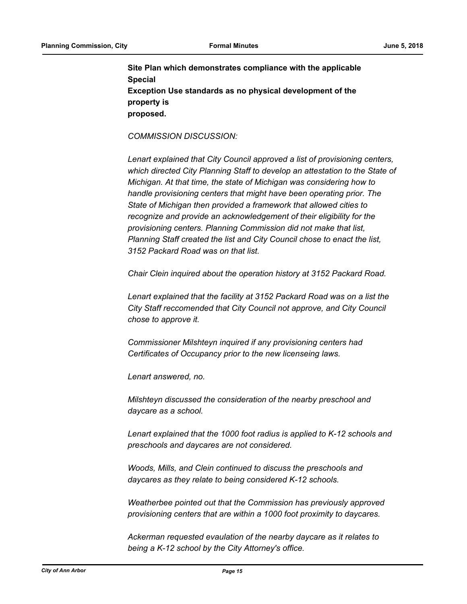**Site Plan which demonstrates compliance with the applicable Special Exception Use standards as no physical development of the property is proposed.**

*COMMISSION DISCUSSION:*

*Lenart explained that City Council approved a list of provisioning centers, which directed City Planning Staff to develop an attestation to the State of Michigan. At that time, the state of Michigan was considering how to handle provisioning centers that might have been operating prior. The State of Michigan then provided a framework that allowed cities to recognize and provide an acknowledgement of their eligibility for the provisioning centers. Planning Commission did not make that list, Planning Staff created the list and City Council chose to enact the list, 3152 Packard Road was on that list.* 

*Chair Clein inquired about the operation history at 3152 Packard Road.*

*Lenart explained that the facility at 3152 Packard Road was on a list the City Staff reccomended that City Council not approve, and City Council chose to approve it.* 

*Commissioner Milshteyn inquired if any provisioning centers had Certificates of Occupancy prior to the new licenseing laws.* 

*Lenart answered, no.* 

*Milshteyn discussed the consideration of the nearby preschool and daycare as a school.* 

*Lenart explained that the 1000 foot radius is applied to K-12 schools and preschools and daycares are not considered.* 

*Woods, Mills, and Clein continued to discuss the preschools and daycares as they relate to being considered K-12 schools.* 

*Weatherbee pointed out that the Commission has previously approved provisioning centers that are within a 1000 foot proximity to daycares.* 

*Ackerman requested evaulation of the nearby daycare as it relates to being a K-12 school by the City Attorney's office.*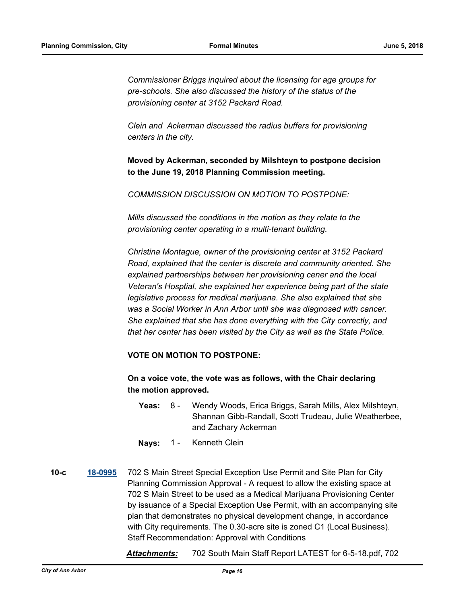*Commissioner Briggs inquired about the licensing for age groups for pre-schools. She also discussed the history of the status of the provisioning center at 3152 Packard Road.* 

*Clein and Ackerman discussed the radius buffers for provisioning centers in the city.*

**Moved by Ackerman, seconded by Milshteyn to postpone decision to the June 19, 2018 Planning Commission meeting.**

*COMMISSION DISCUSSION ON MOTION TO POSTPONE:*

*Mills discussed the conditions in the motion as they relate to the provisioning center operating in a multi-tenant building.* 

*Christina Montague, owner of the provisioning center at 3152 Packard Road, explained that the center is discrete and community oriented. She explained partnerships between her provisioning cener and the local Veteran's Hosptial, she explained her experience being part of the state legislative process for medical marijuana. She also explained that she was a Social Worker in Ann Arbor until she was diagnosed with cancer. She explained that she has done everything with the City correctly, and that her center has been visited by the City as well as the State Police.*

# **VOTE ON MOTION TO POSTPONE:**

**On a voice vote, the vote was as follows, with the Chair declaring the motion approved.**

- Yeas: 8 Wendy Woods, Erica Briggs, Sarah Mills, Alex Milshteyn, Shannan Gibb-Randall, Scott Trudeau, Julie Weatherbee, and Zachary Ackerman 8 -
- **Nays:** 1 Kenneth Clein

**10-c [18-0995](http://a2gov.legistar.com/gateway.aspx?M=L&ID=20605)** 702 S Main Street Special Exception Use Permit and Site Plan for City Planning Commission Approval - A request to allow the existing space at 702 S Main Street to be used as a Medical Marijuana Provisioning Center by issuance of a Special Exception Use Permit, with an accompanying site plan that demonstrates no physical development change, in accordance with City requirements. The 0.30-acre site is zoned C1 (Local Business). Staff Recommendation: Approval with Conditions

*Attachments:* 702 South Main Staff Report LATEST for 6-5-18.pdf, 702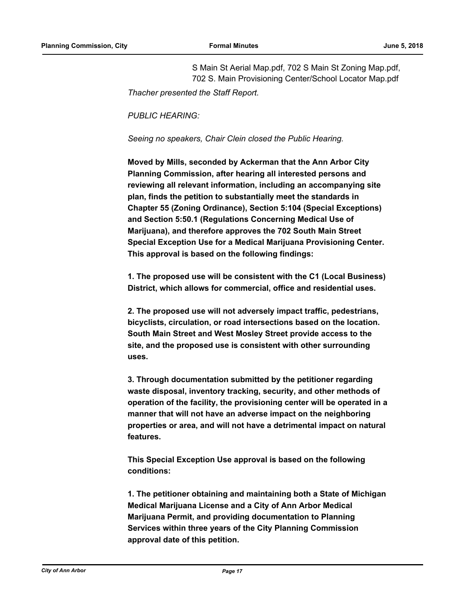S Main St Aerial Map.pdf, 702 S Main St Zoning Map.pdf, 702 S. Main Provisioning Center/School Locator Map.pdf

*Thacher presented the Staff Report.*

*PUBLIC HEARING:*

*Seeing no speakers, Chair Clein closed the Public Hearing.*

**Moved by Mills, seconded by Ackerman that the Ann Arbor City Planning Commission, after hearing all interested persons and reviewing all relevant information, including an accompanying site plan, finds the petition to substantially meet the standards in Chapter 55 (Zoning Ordinance), Section 5:104 (Special Exceptions) and Section 5:50.1 (Regulations Concerning Medical Use of Marijuana), and therefore approves the 702 South Main Street Special Exception Use for a Medical Marijuana Provisioning Center. This approval is based on the following findings:**

**1. The proposed use will be consistent with the C1 (Local Business) District, which allows for commercial, office and residential uses.**

**2. The proposed use will not adversely impact traffic, pedestrians, bicyclists, circulation, or road intersections based on the location. South Main Street and West Mosley Street provide access to the site, and the proposed use is consistent with other surrounding uses.**

**3. Through documentation submitted by the petitioner regarding waste disposal, inventory tracking, security, and other methods of operation of the facility, the provisioning center will be operated in a manner that will not have an adverse impact on the neighboring properties or area, and will not have a detrimental impact on natural features.**

**This Special Exception Use approval is based on the following conditions:**

**1. The petitioner obtaining and maintaining both a State of Michigan Medical Marijuana License and a City of Ann Arbor Medical Marijuana Permit, and providing documentation to Planning Services within three years of the City Planning Commission approval date of this petition.**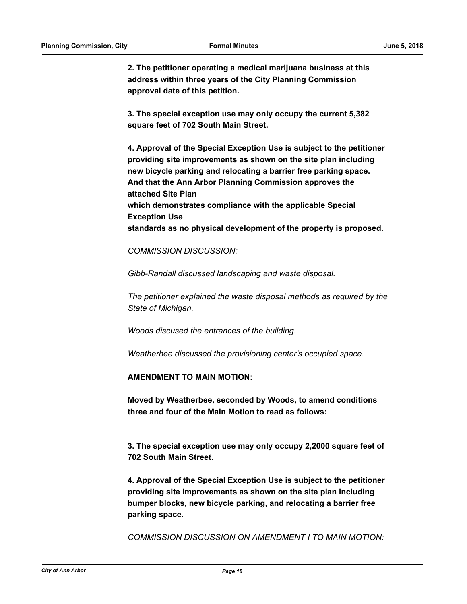**2. The petitioner operating a medical marijuana business at this address within three years of the City Planning Commission approval date of this petition.**

**3. The special exception use may only occupy the current 5,382 square feet of 702 South Main Street.**

**4. Approval of the Special Exception Use is subject to the petitioner providing site improvements as shown on the site plan including new bicycle parking and relocating a barrier free parking space. And that the Ann Arbor Planning Commission approves the attached Site Plan which demonstrates compliance with the applicable Special Exception Use standards as no physical development of the property is proposed.**

*COMMISSION DISCUSSION:*

*Gibb-Randall discussed landscaping and waste disposal.*

*The petitioner explained the waste disposal methods as required by the State of Michigan.* 

*Woods discused the entrances of the building.* 

*Weatherbee discussed the provisioning center's occupied space.*

**AMENDMENT TO MAIN MOTION:**

**Moved by Weatherbee, seconded by Woods, to amend conditions three and four of the Main Motion to read as follows:**

**3. The special exception use may only occupy 2,2000 square feet of 702 South Main Street.**

**4. Approval of the Special Exception Use is subject to the petitioner providing site improvements as shown on the site plan including bumper blocks, new bicycle parking, and relocating a barrier free parking space.**

*COMMISSION DISCUSSION ON AMENDMENT I TO MAIN MOTION:*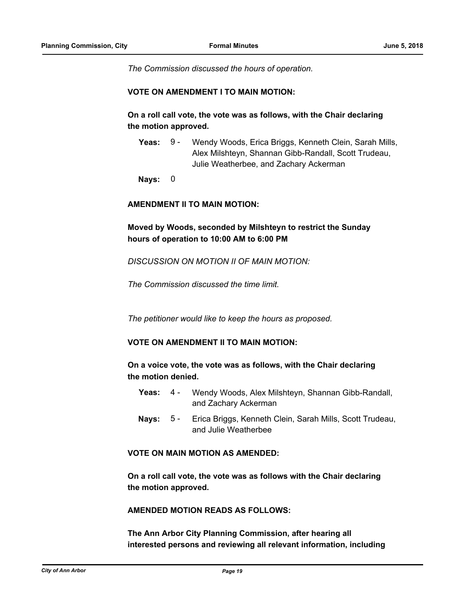*The Commission discussed the hours of operation.*

#### **VOTE ON AMENDMENT I TO MAIN MOTION:**

**On a roll call vote, the vote was as follows, with the Chair declaring the motion approved.**

Yeas: 9 - Wendy Woods, Erica Briggs, Kenneth Clein, Sarah Mills, Alex Milshteyn, Shannan Gibb-Randall, Scott Trudeau, Julie Weatherbee, and Zachary Ackerman 9 -

**Nays:** 0

#### **AMENDMENT II TO MAIN MOTION:**

**Moved by Woods, seconded by Milshteyn to restrict the Sunday hours of operation to 10:00 AM to 6:00 PM**

*DISCUSSION ON MOTION II OF MAIN MOTION:*

*The Commission discussed the time limit.*

*The petitioner would like to keep the hours as proposed.*

# **VOTE ON AMENDMENT II TO MAIN MOTION:**

**On a voice vote, the vote was as follows, with the Chair declaring the motion denied.**

- Yeas: 4 Wendy Woods, Alex Milshteyn, Shannan Gibb-Randall, and Zachary Ackerman  $4 -$
- Nays: 5 Erica Briggs, Kenneth Clein, Sarah Mills, Scott Trudeau, and Julie Weatherbee  $5 -$

## **VOTE ON MAIN MOTION AS AMENDED:**

**On a roll call vote, the vote was as follows with the Chair declaring the motion approved.** 

**AMENDED MOTION READS AS FOLLOWS:**

**The Ann Arbor City Planning Commission, after hearing all interested persons and reviewing all relevant information, including**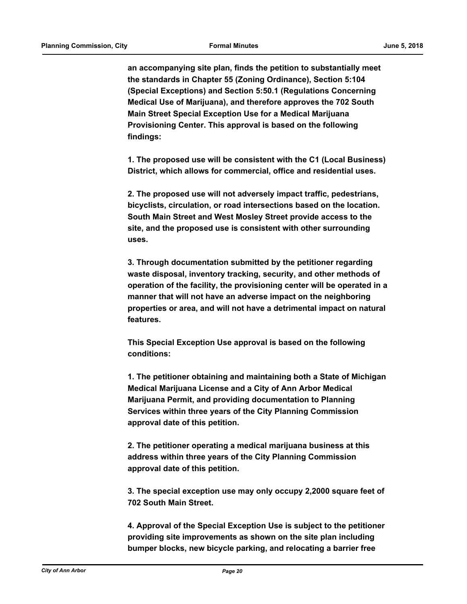**an accompanying site plan, finds the petition to substantially meet the standards in Chapter 55 (Zoning Ordinance), Section 5:104 (Special Exceptions) and Section 5:50.1 (Regulations Concerning Medical Use of Marijuana), and therefore approves the 702 South Main Street Special Exception Use for a Medical Marijuana Provisioning Center. This approval is based on the following findings:**

**1. The proposed use will be consistent with the C1 (Local Business) District, which allows for commercial, office and residential uses.**

**2. The proposed use will not adversely impact traffic, pedestrians, bicyclists, circulation, or road intersections based on the location. South Main Street and West Mosley Street provide access to the site, and the proposed use is consistent with other surrounding uses.**

**3. Through documentation submitted by the petitioner regarding waste disposal, inventory tracking, security, and other methods of operation of the facility, the provisioning center will be operated in a manner that will not have an adverse impact on the neighboring properties or area, and will not have a detrimental impact on natural features.**

**This Special Exception Use approval is based on the following conditions:**

**1. The petitioner obtaining and maintaining both a State of Michigan Medical Marijuana License and a City of Ann Arbor Medical Marijuana Permit, and providing documentation to Planning Services within three years of the City Planning Commission approval date of this petition.**

**2. The petitioner operating a medical marijuana business at this address within three years of the City Planning Commission approval date of this petition.**

**3. The special exception use may only occupy 2,2000 square feet of 702 South Main Street.**

**4. Approval of the Special Exception Use is subject to the petitioner providing site improvements as shown on the site plan including bumper blocks, new bicycle parking, and relocating a barrier free**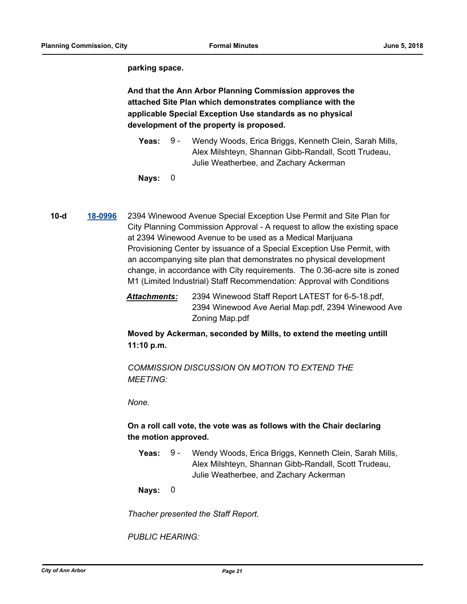**parking space.**

**And that the Ann Arbor Planning Commission approves the attached Site Plan which demonstrates compliance with the applicable Special Exception Use standards as no physical development of the property is proposed.**

- Yeas: 9 Wendy Woods, Erica Briggs, Kenneth Clein, Sarah Mills, Alex Milshteyn, Shannan Gibb-Randall, Scott Trudeau, Julie Weatherbee, and Zachary Ackerman 9 -
- **Nays:** 0
- **10-d [18-0996](http://a2gov.legistar.com/gateway.aspx?M=L&ID=20606)** 2394 Winewood Avenue Special Exception Use Permit and Site Plan for City Planning Commission Approval - A request to allow the existing space at 2394 Winewood Avenue to be used as a Medical Marijuana Provisioning Center by issuance of a Special Exception Use Permit, with an accompanying site plan that demonstrates no physical development change, in accordance with City requirements. The 0.36-acre site is zoned M1 (Limited Industrial) Staff Recommendation: Approval with Conditions
	- *Attachments:* 2394 Winewood Staff Report LATEST for 6-5-18.pdf, 2394 Winewood Ave Aerial Map.pdf, 2394 Winewood Ave Zoning Map.pdf

**Moved by Ackerman, seconded by Mills, to extend the meeting untill 11:10 p.m.**

*COMMISSION DISCUSSION ON MOTION TO EXTEND THE MEETING:*

*None.*

# **On a roll call vote, the vote was as follows with the Chair declaring the motion approved.**

Yeas: 9 - Wendy Woods, Erica Briggs, Kenneth Clein, Sarah Mills, Alex Milshteyn, Shannan Gibb-Randall, Scott Trudeau, Julie Weatherbee, and Zachary Ackerman 9 -

**Nays:** 0

*Thacher presented the Staff Report.*

*PUBLIC HEARING:*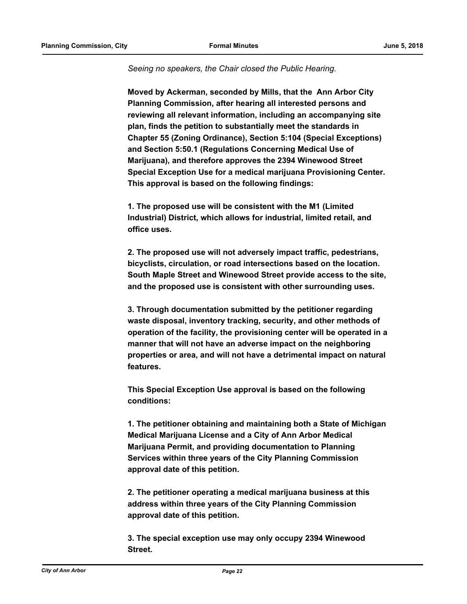#### *Seeing no speakers, the Chair closed the Public Hearing.*

**Moved by Ackerman, seconded by Mills, that the Ann Arbor City Planning Commission, after hearing all interested persons and reviewing all relevant information, including an accompanying site plan, finds the petition to substantially meet the standards in Chapter 55 (Zoning Ordinance), Section 5:104 (Special Exceptions) and Section 5:50.1 (Regulations Concerning Medical Use of Marijuana), and therefore approves the 2394 Winewood Street Special Exception Use for a medical marijuana Provisioning Center. This approval is based on the following findings:**

**1. The proposed use will be consistent with the M1 (Limited Industrial) District, which allows for industrial, limited retail, and office uses.**

**2. The proposed use will not adversely impact traffic, pedestrians, bicyclists, circulation, or road intersections based on the location. South Maple Street and Winewood Street provide access to the site, and the proposed use is consistent with other surrounding uses.**

**3. Through documentation submitted by the petitioner regarding waste disposal, inventory tracking, security, and other methods of operation of the facility, the provisioning center will be operated in a manner that will not have an adverse impact on the neighboring properties or area, and will not have a detrimental impact on natural features.**

**This Special Exception Use approval is based on the following conditions:**

**1. The petitioner obtaining and maintaining both a State of Michigan Medical Marijuana License and a City of Ann Arbor Medical Marijuana Permit, and providing documentation to Planning Services within three years of the City Planning Commission approval date of this petition.**

**2. The petitioner operating a medical marijuana business at this address within three years of the City Planning Commission approval date of this petition.**

**3. The special exception use may only occupy 2394 Winewood Street.**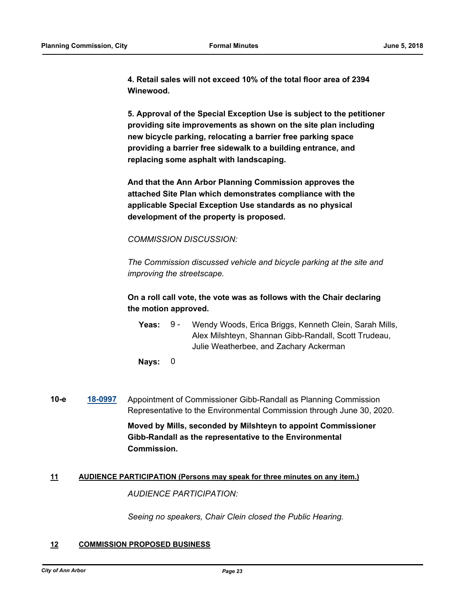**4. Retail sales will not exceed 10% of the total floor area of 2394 Winewood.**

**5. Approval of the Special Exception Use is subject to the petitioner providing site improvements as shown on the site plan including new bicycle parking, relocating a barrier free parking space providing a barrier free sidewalk to a building entrance, and replacing some asphalt with landscaping.**

**And that the Ann Arbor Planning Commission approves the attached Site Plan which demonstrates compliance with the applicable Special Exception Use standards as no physical development of the property is proposed.**

*COMMISSION DISCUSSION:*

*The Commission discussed vehicle and bicycle parking at the site and improving the streetscape.*

**On a roll call vote, the vote was as follows with the Chair declaring the motion approved.**

Yeas: 9 - Wendy Woods, Erica Briggs, Kenneth Clein, Sarah Mills, Alex Milshteyn, Shannan Gibb-Randall, Scott Trudeau, Julie Weatherbee, and Zachary Ackerman  $9 -$ 

**Nays:** 0

**10-e [18-0997](http://a2gov.legistar.com/gateway.aspx?M=L&ID=20607)** Appointment of Commissioner Gibb-Randall as Planning Commission Representative to the Environmental Commission through June 30, 2020.

> **Moved by Mills, seconded by Milshteyn to appoint Commissioner Gibb-Randall as the representative to the Environmental Commission.**

# **11 AUDIENCE PARTICIPATION (Persons may speak for three minutes on any item.)**

*AUDIENCE PARTICIPATION:*

*Seeing no speakers, Chair Clein closed the Public Hearing.*

# **12 COMMISSION PROPOSED BUSINESS**